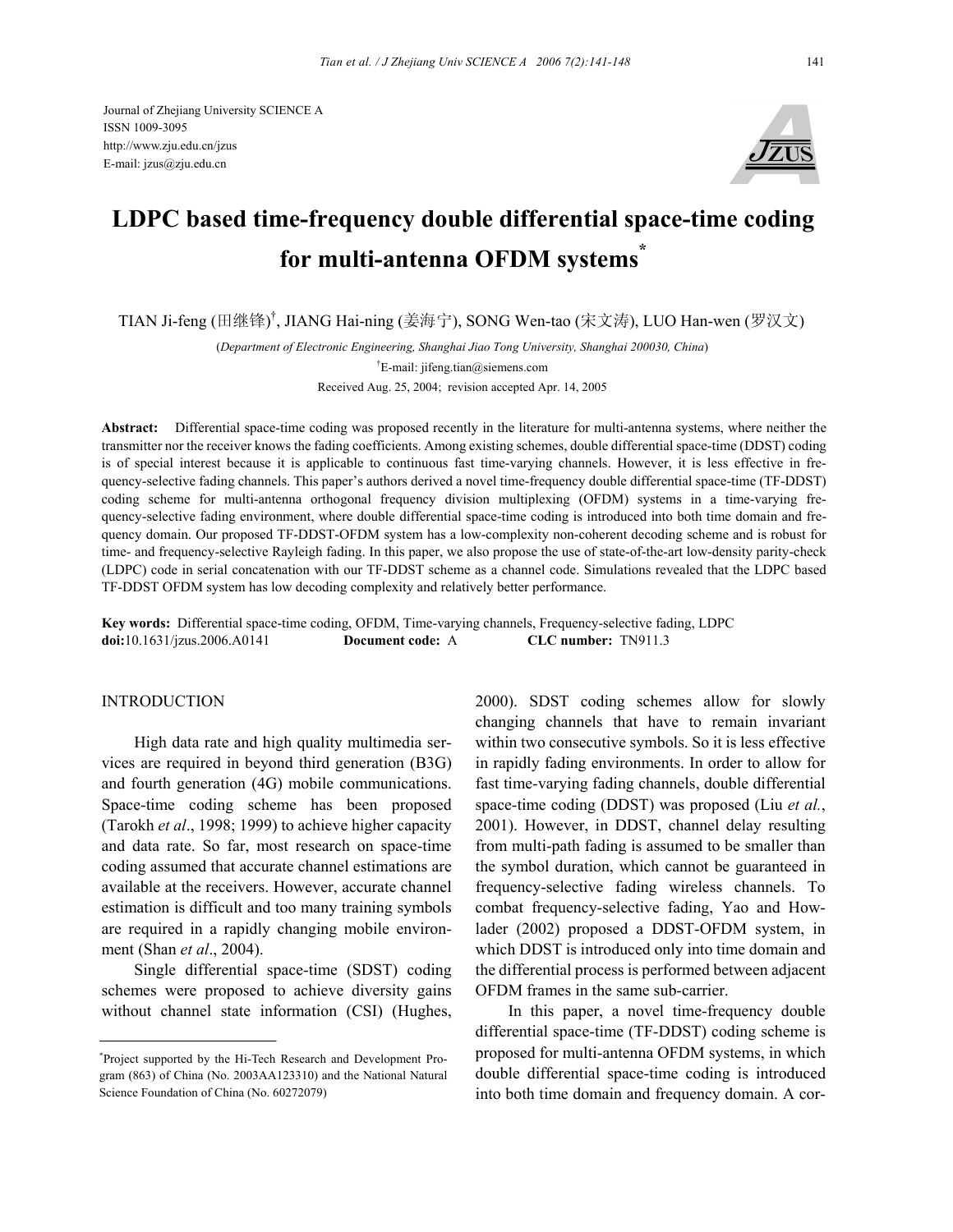Journal of Zhejiang University SCIENCE A ISSN 1009-3095 http://www.zju.edu.cn/jzus E-mail: jzus@zju.edu.cn



# **LDPC based time-frequency double differential space-time coding for multi-antenna OFDM systems\***

TIAN Ji-feng (田继锋) † , JIANG Hai-ning (姜海宁), SONG Wen-tao (宋文涛), LUO Han-wen (罗汉文)

(*Department of Electronic Engineering, Shanghai Jiao Tong University, Shanghai 200030, China*) † E-mail: jifeng.tian@siemens.com Received Aug. 25, 2004; revision accepted Apr. 14, 2005

**Abstract:** Differential space-time coding was proposed recently in the literature for multi-antenna systems, where neither the transmitter nor the receiver knows the fading coefficients. Among existing schemes, double differential space-time (DDST) coding is of special interest because it is applicable to continuous fast time-varying channels. However, it is less effective in frequency-selective fading channels. This paper's authors derived a novel time-frequency double differential space-time (TF-DDST) coding scheme for multi-antenna orthogonal frequency division multiplexing (OFDM) systems in a time-varying frequency-selective fading environment, where double differential space-time coding is introduced into both time domain and frequency domain. Our proposed TF-DDST-OFDM system has a low-complexity non-coherent decoding scheme and is robust for time- and frequency-selective Rayleigh fading. In this paper, we also propose the use of state-of-the-art low-density parity-check (LDPC) code in serial concatenation with our TF-DDST scheme as a channel code. Simulations revealed that the LDPC based TF-DDST OFDM system has low decoding complexity and relatively better performance.

**Key words:** Differential space-time coding, OFDM, Time-varying channels, Frequency-selective fading, LDPC **doi:**10.1631/jzus.2006.A0141 **Document code:** A **CLC number:** TN911.3

# INTRODUCTION

High data rate and high quality multimedia services are required in beyond third generation (B3G) and fourth generation (4G) mobile communications. Space-time coding scheme has been proposed (Tarokh *et al*., 1998; 1999) to achieve higher capacity and data rate. So far, most research on space-time coding assumed that accurate channel estimations are available at the receivers. However, accurate channel estimation is difficult and too many training symbols are required in a rapidly changing mobile environment (Shan *et al*., 2004).

Single differential space-time (SDST) coding schemes were proposed to achieve diversity gains without channel state information (CSI) (Hughes, 2000). SDST coding schemes allow for slowly changing channels that have to remain invariant within two consecutive symbols. So it is less effective in rapidly fading environments. In order to allow for fast time-varying fading channels, double differential space-time coding (DDST) was proposed (Liu *et al.*, 2001). However, in DDST, channel delay resulting from multi-path fading is assumed to be smaller than the symbol duration, which cannot be guaranteed in frequency-selective fading wireless channels. To combat frequency-selective fading, Yao and Howlader (2002) proposed a DDST-OFDM system, in which DDST is introduced only into time domain and the differential process is performed between adjacent OFDM frames in the same sub-carrier.

In this paper, a novel time-frequency double differential space-time (TF-DDST) coding scheme is proposed for multi-antenna OFDM systems, in which double differential space-time coding is introduced into both time domain and frequency domain. A cor-

<sup>\*</sup> Project supported by the Hi-Tech Research and Development Program (863) of China (No. 2003AA123310) and the National Natural Science Foundation of China (No. 60272079)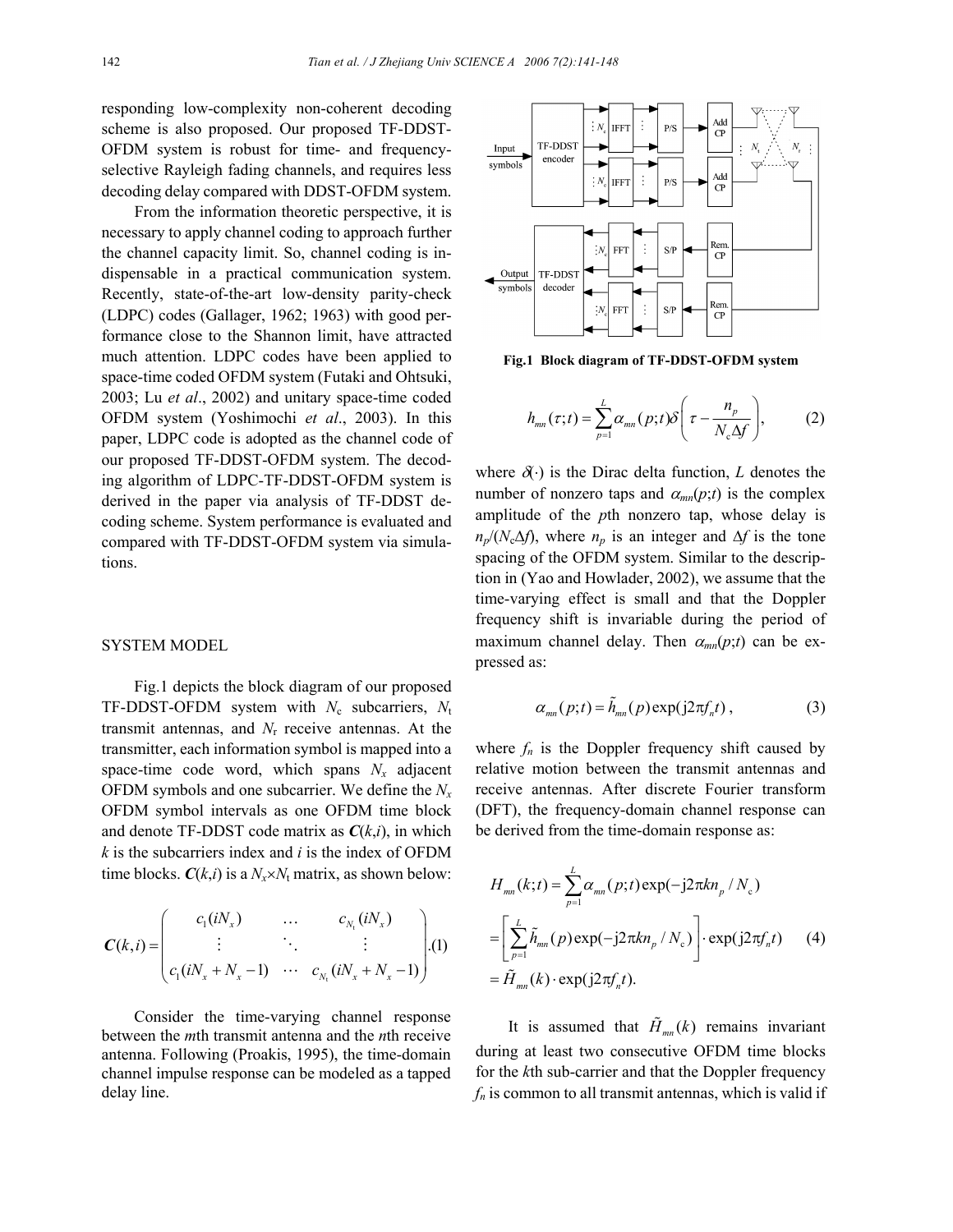responding low-complexity non-coherent decoding scheme is also proposed. Our proposed TF-DDST-OFDM system is robust for time- and frequencyselective Rayleigh fading channels, and requires less decoding delay compared with DDST-OFDM system.

From the information theoretic perspective, it is necessary to apply channel coding to approach further the channel capacity limit. So, channel coding is indispensable in a practical communication system. Recently, state-of-the-art low-density parity-check (LDPC) codes (Gallager, 1962; 1963) with good performance close to the Shannon limit, have attracted much attention. LDPC codes have been applied to space-time coded OFDM system (Futaki and Ohtsuki, 2003; Lu *et al*., 2002) and unitary space-time coded OFDM system (Yoshimochi *et al*., 2003). In this paper, LDPC code is adopted as the channel code of our proposed TF-DDST-OFDM system. The decoding algorithm of LDPC-TF-DDST-OFDM system is derived in the paper via analysis of TF-DDST decoding scheme. System performance is evaluated and compared with TF-DDST-OFDM system via simulations.

### SYSTEM MODEL

Fig.1 depicts the block diagram of our proposed TF-DDST-OFDM system with  $N_c$  subcarriers,  $N_t$ transmit antennas, and *N*r receive antennas. At the transmitter, each information symbol is mapped into a space-time code word, which spans  $N_x$  adjacent OFDM symbols and one subcarrier. We define the *Nx* OFDM symbol intervals as one OFDM time block and denote TF-DDST code matrix as *C*(*k*,*i*), in which *k* is the subcarriers index and *i* is the index of OFDM time blocks.  $C(k,i)$  is a  $N_x \times N_t$  matrix, as shown below:

$$
\mathbf{C}(k,i) = \begin{pmatrix} c_1(iN_x) & \dots & c_{N_t}(iN_x) \\ \vdots & \ddots & \vdots \\ c_1(iN_x + N_x - 1) & \dots & c_{N_t}(iN_x + N_x - 1) \end{pmatrix} . (1)
$$

Consider the time-varying channel response between the *m*th transmit antenna and the *n*th receive antenna. Following (Proakis, 1995), the time-domain channel impulse response can be modeled as a tapped delay line.



**Fig.1 Block diagram of TF-DDST-OFDM system**

$$
h_{mn}(\tau;t) = \sum_{p=1}^{L} \alpha_{mn}(p;t) \delta\left(\tau - \frac{n_p}{N_c \Delta f}\right), \qquad (2)
$$

where  $\delta(\cdot)$  is the Dirac delta function, *L* denotes the number of nonzero taps and  $\alpha_{mn}(p;t)$  is the complex amplitude of the *p*th nonzero tap, whose delay is  $n_p/(N_c\Delta f)$ , where  $n_p$  is an integer and  $\Delta f$  is the tone spacing of the OFDM system. Similar to the description in (Yao and Howlader, 2002), we assume that the time-varying effect is small and that the Doppler frequency shift is invariable during the period of maximum channel delay. Then  $\alpha_{mn}(p;t)$  can be expressed as:

$$
\alpha_{mn}(p;t) = \tilde{h}_{mn}(p) \exp(j2\pi f_n t) , \qquad (3)
$$

where  $f_n$  is the Doppler frequency shift caused by relative motion between the transmit antennas and receive antennas. After discrete Fourier transform (DFT), the frequency-domain channel response can be derived from the time-domain response as:

$$
H_{mn}(k;t) = \sum_{p=1}^{L} \alpha_{mn}(p;t) \exp(-j2\pi k n_p / N_c)
$$
  
= 
$$
\left[ \sum_{p=1}^{L} \tilde{h}_{mn}(p) \exp(-j2\pi k n_p / N_c) \right] \cdot \exp(j2\pi f_n t)
$$
 (4)  
= 
$$
\tilde{H}_{mn}(k) \cdot \exp(j2\pi f_n t).
$$

It is assumed that  $\tilde{H}_{mn}(k)$  remains invariant during at least two consecutive OFDM time blocks for the *k*th sub-carrier and that the Doppler frequency  $f_n$  is common to all transmit antennas, which is valid if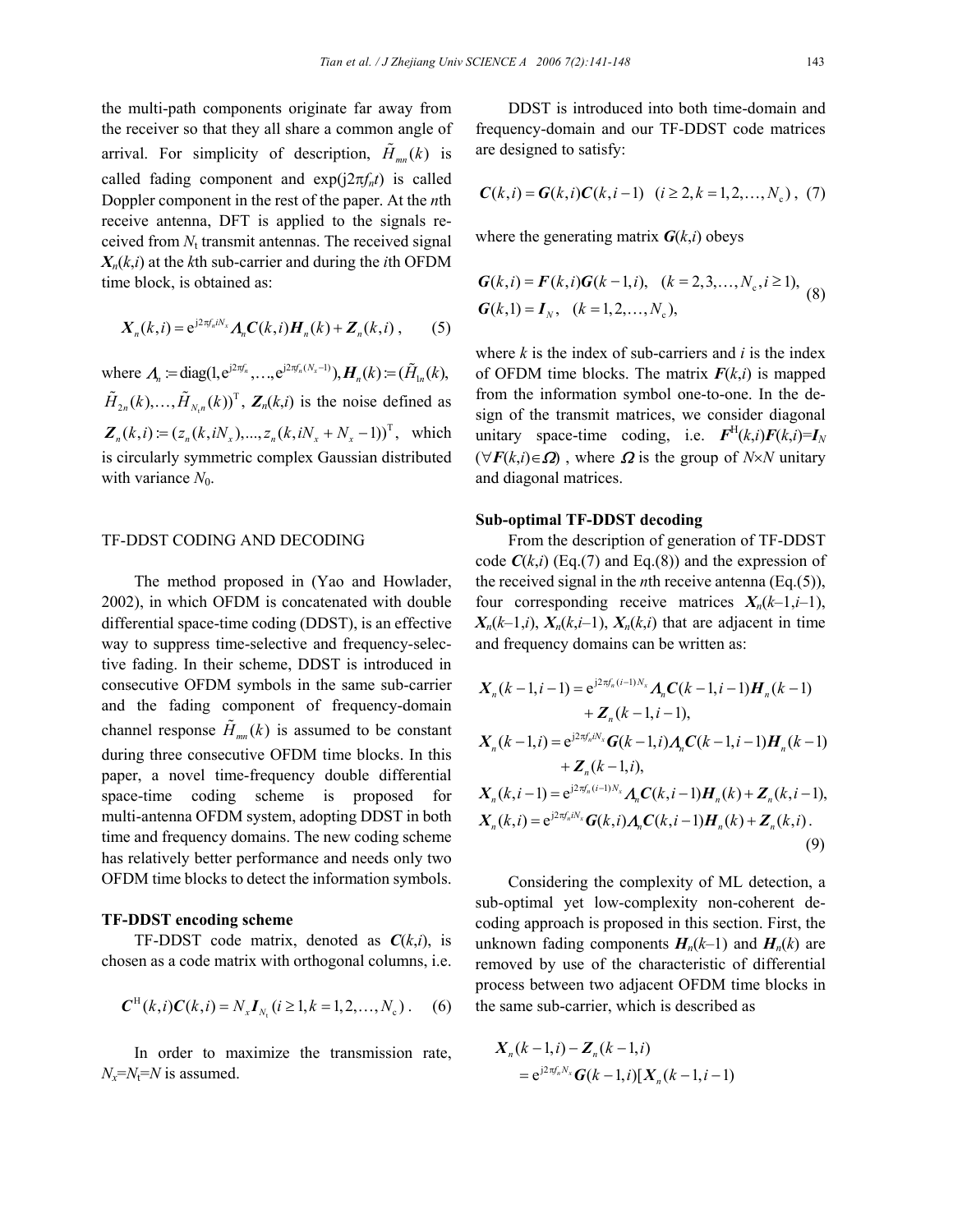the multi-path components originate far away from the receiver so that they all share a common angle of arrival. For simplicity of description,  $\tilde{H}_{mn}(k)$  is called fading component and  $exp(i2\pi f_n t)$  is called Doppler component in the rest of the paper. At the *n*th receive antenna, DFT is applied to the signals received from *N*t transmit antennas. The received signal  $X_n(k,i)$  at the *k*th sub-carrier and during the *i*th OFDM time block, is obtained as:

$$
\boldsymbol{X}_n(k,i) = \mathrm{e}^{\mathrm{j}2\pi f_n i N_x} \boldsymbol{A}_n \boldsymbol{C}(k,i) \boldsymbol{H}_n(k) + \boldsymbol{Z}_n(k,i) ,\qquad (5)
$$

where  $\boldsymbol{\Lambda}_n := \text{diag}(1, e^{j2\pi f_n}, \dots, e^{j2\pi f_n(N_x - 1)}), \boldsymbol{H}_n(k) := (\tilde{H}_{1n}(k)),$ t  $\tilde{H}_{2n}(k), \ldots, \tilde{H}_{N,n}(k)$ <sup>T</sup>,  $\mathbf{Z}_n(k,i)$  is the noise defined as  $\mathbf{Z}_{n}(k, i) := (z_{n}(k, iN_{r}), ..., z_{n}(k, iN_{r} + N_{r} - 1))^{T}$ , which is circularly symmetric complex Gaussian distributed with variance  $N_0$ .

## TF-DDST CODING AND DECODING

The method proposed in (Yao and Howlader, 2002), in which OFDM is concatenated with double differential space-time coding (DDST), is an effective way to suppress time-selective and frequency-selective fading. In their scheme, DDST is introduced in consecutive OFDM symbols in the same sub-carrier and the fading component of frequency-domain channel response  $\tilde{H}_{mn}(k)$  is assumed to be constant during three consecutive OFDM time blocks. In this paper, a novel time-frequency double differential space-time coding scheme is proposed for multi-antenna OFDM system, adopting DDST in both time and frequency domains. The new coding scheme has relatively better performance and needs only two OFDM time blocks to detect the information symbols.

## **TF-DDST encoding scheme**

TF-DDST code matrix, denoted as  $C(k,i)$ , is chosen as a code matrix with orthogonal columns, i.e.

$$
C^{H}(k,i)C(k,i) = N_{x}I_{N_{t}}(i \ge 1, k = 1, 2, ..., N_{c}).
$$
 (6)

In order to maximize the transmission rate,  $N_x = N_t = N$  is assumed.

DDST is introduced into both time-domain and frequency-domain and our TF-DDST code matrices are designed to satisfy:

$$
C(k,i) = G(k,i)C(k,i-1) \quad (i \ge 2, k = 1,2,...,N_c) , (7)
$$

where the generating matrix  $G(k,i)$  obeys

$$
G(k,i) = F(k,i)G(k-1,i), (k = 2,3,...,N_c, i \ge 1),
$$
  
\n
$$
G(k,1) = I_N, (k = 1,2,...,N_c),
$$
\n(8)

where *k* is the index of sub-carriers and *i* is the index of OFDM time blocks. The matrix  $F(k,i)$  is mapped from the information symbol one-to-one. In the design of the transmit matrices, we consider diagonal unitary space-time coding, i.e.  $\mathbf{F}^{\mathrm{H}}(k,i)\mathbf{F}(k,i)=\mathbf{I}_N$  $(\forall F(k,i) \in \Omega)$ , where  $\Omega$  is the group of *N*×*N* unitary and diagonal matrices.

## **Sub-optimal TF-DDST decoding**

From the description of generation of TF-DDST code  $C(k,i)$  (Eq.(7) and Eq.(8)) and the expression of the received signal in the *n*th receive antenna (Eq.(5)), four corresponding receive matrices  $X_n(k-1,i-1)$ ,  $X_n(k-1,i)$ ,  $X_n(k,i-1)$ ,  $X_n(k,i)$  that are adjacent in time and frequency domains can be written as:

$$
X_{n}(k-1,i-1) = e^{j2\pi f_{n}(i-1)N_{x}} A_{n} C(k-1,i-1)H_{n}(k-1)
$$
  
+ Z\_{n}(k-1,i-1),  

$$
X_{n}(k-1,i) = e^{j2\pi f_{n}iN_{x}}G(k-1,i)A_{n}C(k-1,i-1)H_{n}(k-1)
$$
  
+ Z\_{n}(k-1,i),  

$$
X_{n}(k,i-1) = e^{j2\pi f_{n}(i-1)N_{x}} A_{n} C(k,i-1)H_{n}(k) + Z_{n}(k,i-1),
$$
  

$$
X_{n}(k,i) = e^{j2\pi f_{n}iN_{x}}G(k,i)A_{n} C(k,i-1)H_{n}(k) + Z_{n}(k,i).
$$
  
(9)

Considering the complexity of ML detection, a sub-optimal yet low-complexity non-coherent decoding approach is proposed in this section. First, the unknown fading components  $H_n(k-1)$  and  $H_n(k)$  are removed by use of the characteristic of differential process between two adjacent OFDM time blocks in the same sub-carrier, which is described as

$$
X_n(k-1,i) - Z_n(k-1,i)
$$
  
=  $e^{j2\pi f_n N_x} G(k-1,i)[X_n(k-1,i-1)]$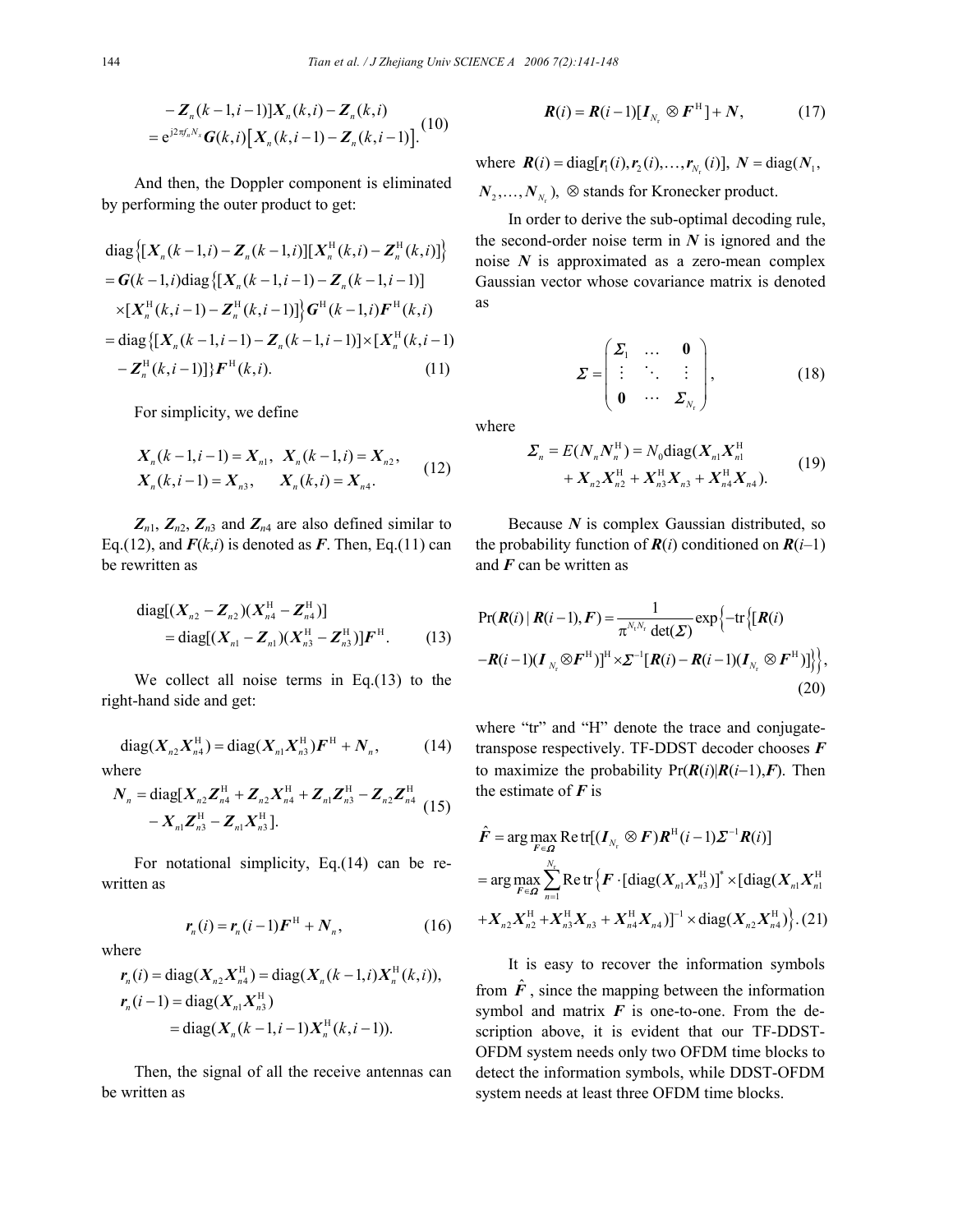$$
-Z_n(k-1,i-1)]X_n(k,i) - Z_n(k,i)
$$
  
=  $e^{j2\pi f_n N_x} G(k,i) [X_n(k,i-1) - Z_n(k,i-1)].$  (10)

And then, the Doppler component is eliminated by performing the outer product to get:

diag 
$$
\{[X_n(k-1,i) - Z_n(k-1,i)][X_n^H(k,i) - Z_n^H(k,i)]\}
$$
  
\n=  $G(k-1,i)$ diag  $\{[X_n(k-1,i-1) - Z_n(k-1,i-1)]$   
\n $\times [X_n^H(k,i-1) - Z_n^H(k,i-1)]\} G^H(k-1,i)F^H(k,i)$   
\n= diag  $\{[X_n(k-1,i-1) - Z_n(k-1,i-1)]\}\times [X_n^H(k,i-1) - Z_n^H(k,i-1)]\}F^H(k,i).$  (11)

For simplicity, we define

$$
X_n(k-1,i-1) = X_{n1}, X_n(k-1,i) = X_{n2},
$$
  
\n
$$
X_n(k,i-1) = X_{n3}, X_n(k,i) = X_{n4}.
$$
 (12)

 $Z_{n1}$ ,  $Z_{n2}$ ,  $Z_{n3}$  and  $Z_{n4}$  are also defined similar to Eq.(12), and  $F(k,i)$  is denoted as F. Then, Eq.(11) can be rewritten as

diag[(
$$
X_{n2}
$$
 -  $Z_{n2}$ )( $X_{n4}^H$  -  $Z_{n4}^H$ )]  
= diag[( $X_{n1}$  -  $Z_{n1}$ )( $X_{n3}^H$  -  $Z_{n3}^H$ )] $F^H$ . (13)

We collect all noise terms in Eq.(13) to the right-hand side and get:

diag
$$
(X_{n2}X_{n4}^H)
$$
 = diag $(X_{n1}X_{n3}^H)F^H + N_n$ , (14)

where

$$
N_{n} = \text{diag}[X_{n2}Z_{n4}^{H} + Z_{n2}X_{n4}^{H} + Z_{n1}Z_{n3}^{H} - Z_{n2}Z_{n4}^{H} (15) - X_{n1}Z_{n3}^{H} - Z_{n1}X_{n3}^{H}]
$$

For notational simplicity, Eq.(14) can be rewritten as

$$
\mathbf{r}_n(i) = \mathbf{r}_n(i-1)\mathbf{F}^{\mathrm{H}} + \mathbf{N}_n, \tag{16}
$$

where

$$
r_n(i) = \text{diag}(X_{n2}X_{n4}^H) = \text{diag}(X_n(k-1,i)X_n^H(k,i)),
$$
  
\n
$$
r_n(i-1) = \text{diag}(X_{n1}X_{n3}^H)
$$
  
\n
$$
= \text{diag}(X_n(k-1,i-1)X_n^H(k,i-1)).
$$

Then, the signal of all the receive antennas can be written as

$$
\boldsymbol{R}(i) = \boldsymbol{R}(i-1)[\boldsymbol{I}_{N_r} \otimes \boldsymbol{F}^{\mathrm{H}}] + \boldsymbol{N}, \qquad (17)
$$

where  $\mathbf{R}(i) = \text{diag}[\mathbf{r}_1(i), \mathbf{r}_2(i), \dots, \mathbf{r}_{N_r}(i)]$ ,  $N = \text{diag}(N_1, k_2)$  $N_2, \ldots, N_{N_r}$ ,  $\otimes$  stands for Kronecker product.

In order to derive the sub-optimal decoding rule, the second-order noise term in  $N$  is ignored and the noise *N* is approximated as a zero-mean complex Gaussian vector whose covariance matrix is denoted as

$$
\Sigma = \begin{pmatrix} \Sigma_1 & \dots & 0 \\ \vdots & \ddots & \vdots \\ 0 & \dots & \Sigma_{N_r} \end{pmatrix},
$$
 (18)

where

$$
\Sigma_n = E(N_n N_n^{\mathrm{H}}) = N_0 \text{diag}(X_{n1} X_{n1}^{\mathrm{H}} + X_{n2} X_{n2}^{\mathrm{H}} + X_{n3}^{\mathrm{H}} X_{n3} + X_{n4}^{\mathrm{H}} X_{n4}).
$$
\n(19)

Because *N* is complex Gaussian distributed, so the probability function of  $R(i)$  conditioned on  $R(i-1)$ and *F* can be written as

$$
\Pr(\boldsymbol{R}(i) | \boldsymbol{R}(i-1), \boldsymbol{F}) = \frac{1}{\pi^{N_i N_r} \det(\boldsymbol{\Sigma})} \exp\left\{-\text{tr}\left\{[\boldsymbol{R}(i) - \boldsymbol{R}(i-1)(\boldsymbol{I}_{N_r} \otimes \boldsymbol{F}^H)]\right\}\right\},\
$$
\n
$$
-\boldsymbol{R}(i-1)(\boldsymbol{I}_{N_r} \otimes \boldsymbol{F}^H)]^{\text{H}} \times \boldsymbol{\Sigma}^{-1}[\boldsymbol{R}(i) - \boldsymbol{R}(i-1)(\boldsymbol{I}_{N_r} \otimes \boldsymbol{F}^H)]\right\},\tag{20}
$$

where "tr" and "H" denote the trace and conjugatetranspose respectively. TF-DDST decoder chooses *F* to maximize the probability  $Pr(R(i)|R(i-1),F)$ . Then the estimate of *F* is

$$
\hat{F} = \arg \max_{F \in \Omega} \text{Retr}[(I_{N_r} \otimes F)R^H(i-1)\Sigma^{-1}R(i)]
$$
  
= 
$$
\arg \max_{F \in \Omega} \sum_{n=1}^{N_r} \text{Retr} \{F \cdot [\text{diag}(X_{n1}X_{n3}^H)]^* \times [\text{diag}(X_{n1}X_{n1}^H)]
$$
  
+ 
$$
X_{n2}X_{n2}^H + X_{n3}^H X_{n3} + X_{n4}^H X_{n4})]^{-1} \times \text{diag}(X_{n2}X_{n4}^H)\}.
$$
 (21)

It is easy to recover the information symbols from  $\hat{F}$ , since the mapping between the information symbol and matrix  $\boldsymbol{F}$  is one-to-one. From the description above, it is evident that our TF-DDST-OFDM system needs only two OFDM time blocks to detect the information symbols, while DDST-OFDM system needs at least three OFDM time blocks.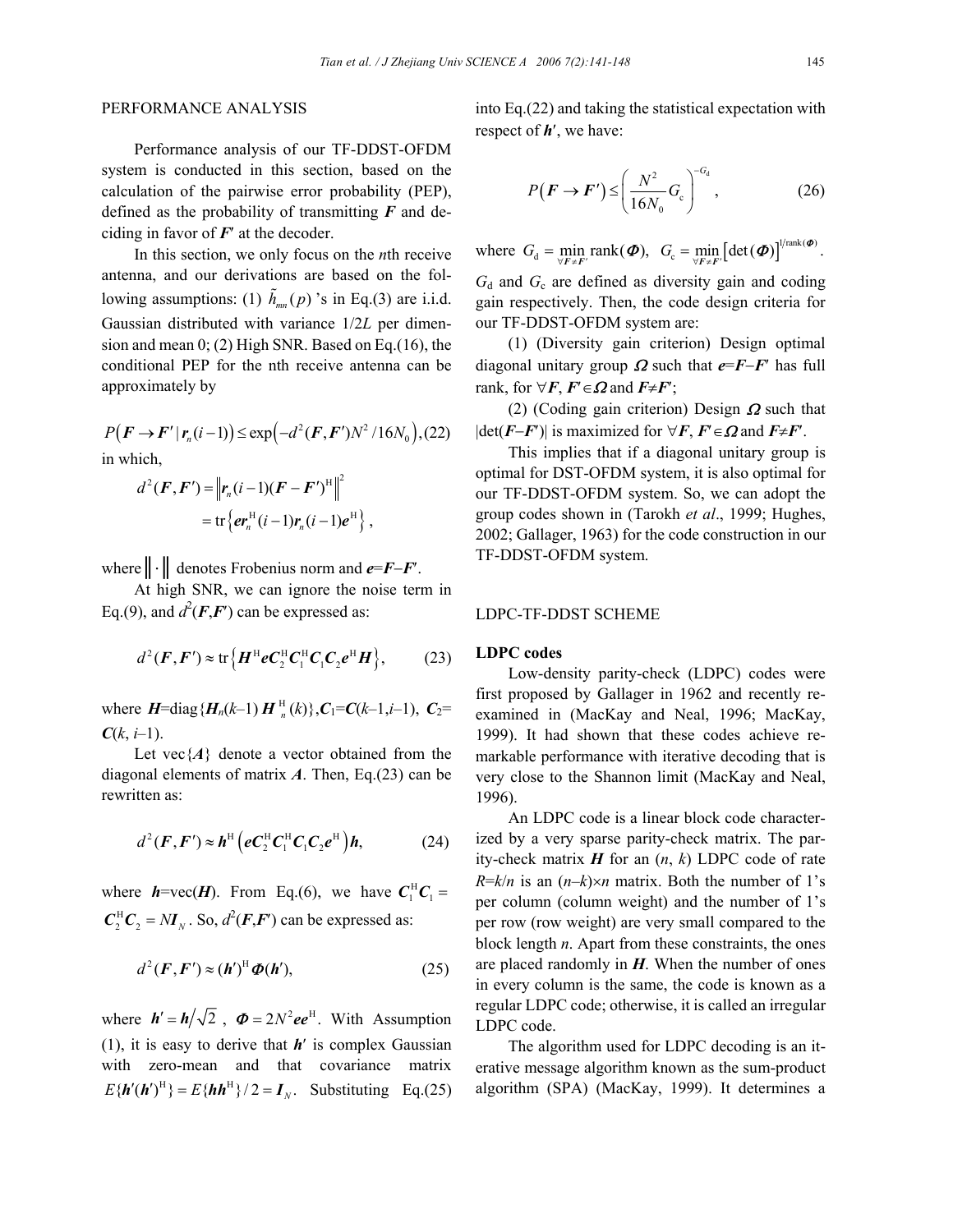# PERFORMANCE ANALYSIS

Performance analysis of our TF-DDST-OFDM system is conducted in this section, based on the calculation of the pairwise error probability (PEP), defined as the probability of transmitting *F* and deciding in favor of  $F'$  at the decoder.

In this section, we only focus on the *n*th receive antenna, and our derivations are based on the following assumptions: (1)  $\hat{h}_{mn}(p)$  's in Eq.(3) are i.i.d. Gaussian distributed with variance 1/2*L* per dimension and mean 0; (2) High SNR. Based on Eq.(16), the conditional PEP for the nth receive antenna can be approximately by

$$
P(\boldsymbol{F} \to \boldsymbol{F}' | \boldsymbol{r}_n(i-1)) \le \exp\left(-d^2(\boldsymbol{F}, \boldsymbol{F}')N^2/16N_0\right), (22)
$$
  
in which,

$$
d^{2}(\boldsymbol{F}, \boldsymbol{F}') = \left\| \boldsymbol{r}_{n}(i-1)(\boldsymbol{F} - \boldsymbol{F}')^{\mathrm{H}} \right\|^{2}
$$

$$
= \mathrm{tr} \left\{ \boldsymbol{e} \boldsymbol{r}_{n}^{\mathrm{H}}(i-1) \boldsymbol{r}_{n}(i-1) \boldsymbol{e}^{\mathrm{H}} \right\},
$$

where║⋅║ denotes Frobenius norm and *e*=*F*−*F*′.

At high SNR, we can ignore the noise term in Eq.(9), and  $d^2(F, F')$  can be expressed as:

$$
d^{2}(\boldsymbol{F}, \boldsymbol{F}') \approx \text{tr}\left\{\boldsymbol{H}^{\text{H}}\boldsymbol{e}\boldsymbol{C}_{2}^{\text{H}}\boldsymbol{C}_{1}^{\text{H}}\boldsymbol{C}_{1}\boldsymbol{C}_{2}\boldsymbol{e}^{\text{H}}\boldsymbol{H}\right\},\qquad(23)
$$

where  $H = \text{diag} \{ H_n(k-1) H_n^H(k) \}$ ,  $C_1 = C(k-1, i-1)$ ,  $C_2 =$  $C(k, i-1)$ .

Let vec $\{A\}$  denote a vector obtained from the diagonal elements of matrix *A*. Then, Eq.(23) can be rewritten as:

$$
d^{2}(F, F') \approx h^{\mathrm{H}}\left(eC_{2}^{\mathrm{H}}C_{1}^{\mathrm{H}}C_{1}C_{2}e^{\mathrm{H}}\right)h, \tag{24}
$$

where  $h$ =vec(*H*). From Eq.(6), we have  $C_1^H C_1$  =  $C_2^{\text{H}}C_2 = NI_N$ . So,  $d^2(F, F')$  can be expressed as:

$$
d^{2}(F, F') \approx (h')^{H} \Phi(h'), \qquad (25)
$$

where  $h' = h/\sqrt{2}$ ,  $\Phi = 2N^2ee^H$ . With Assumption (1), it is easy to derive that *h*′ is complex Gaussian with zero-mean and that covariance matrix  $E\{h'(h')^{\text{H}}\} = E\{hh^{\text{H}}\}/2 = I_{\text{N}}$ . Substituting Eq.(25) into Eq.(22) and taking the statistical expectation with respect of *h*′, we have:

$$
P(\boldsymbol{F} \to \boldsymbol{F}') \le \left(\frac{N^2}{16N_0} G_c\right)^{-G_d},\tag{26}
$$

where  $G_d = \min_{\forall F \neq F'} \text{rank}(\boldsymbol{\Phi})$ ,  $G_c = \min_{\forall F \neq F'} \left[ \text{det}(\boldsymbol{\Phi}) \right]^{1/\text{rank}(\boldsymbol{\Phi})}$ .

 $G_d$  and  $G_c$  are defined as diversity gain and coding gain respectively. Then, the code design criteria for our TF-DDST-OFDM system are:

(1) (Diversity gain criterion) Design optimal diagonal unitary group  $\Omega$  such that  $e = F - F'$  has full rank, for  $\forall F, F' \in \Omega$  and  $F \neq F'$ ;

(2) (Coding gain criterion) Design  $\Omega$  such that |det(*F*−*F*′)| is maximized for ∀*F*, *F*′∈Ω and *F*≠*F*′.

This implies that if a diagonal unitary group is optimal for DST-OFDM system, it is also optimal for our TF-DDST-OFDM system. So, we can adopt the group codes shown in (Tarokh *et al*., 1999; Hughes, 2002; Gallager, 1963) for the code construction in our TF-DDST-OFDM system.

## LDPC-TF-DDST SCHEME

#### **LDPC codes**

Low-density parity-check (LDPC) codes were first proposed by Gallager in 1962 and recently reexamined in (MacKay and Neal, 1996; MacKay, 1999). It had shown that these codes achieve remarkable performance with iterative decoding that is very close to the Shannon limit (MacKay and Neal, 1996).

An LDPC code is a linear block code characterized by a very sparse parity-check matrix. The parity-check matrix *H* for an (*n*, *k*) LDPC code of rate  $R=k/n$  is an  $(n-k)\times n$  matrix. Both the number of 1's per column (column weight) and the number of 1's per row (row weight) are very small compared to the block length *n*. Apart from these constraints, the ones are placed randomly in *H*. When the number of ones in every column is the same, the code is known as a regular LDPC code; otherwise, it is called an irregular LDPC code.

The algorithm used for LDPC decoding is an iterative message algorithm known as the sum-product algorithm (SPA) (MacKay, 1999). It determines a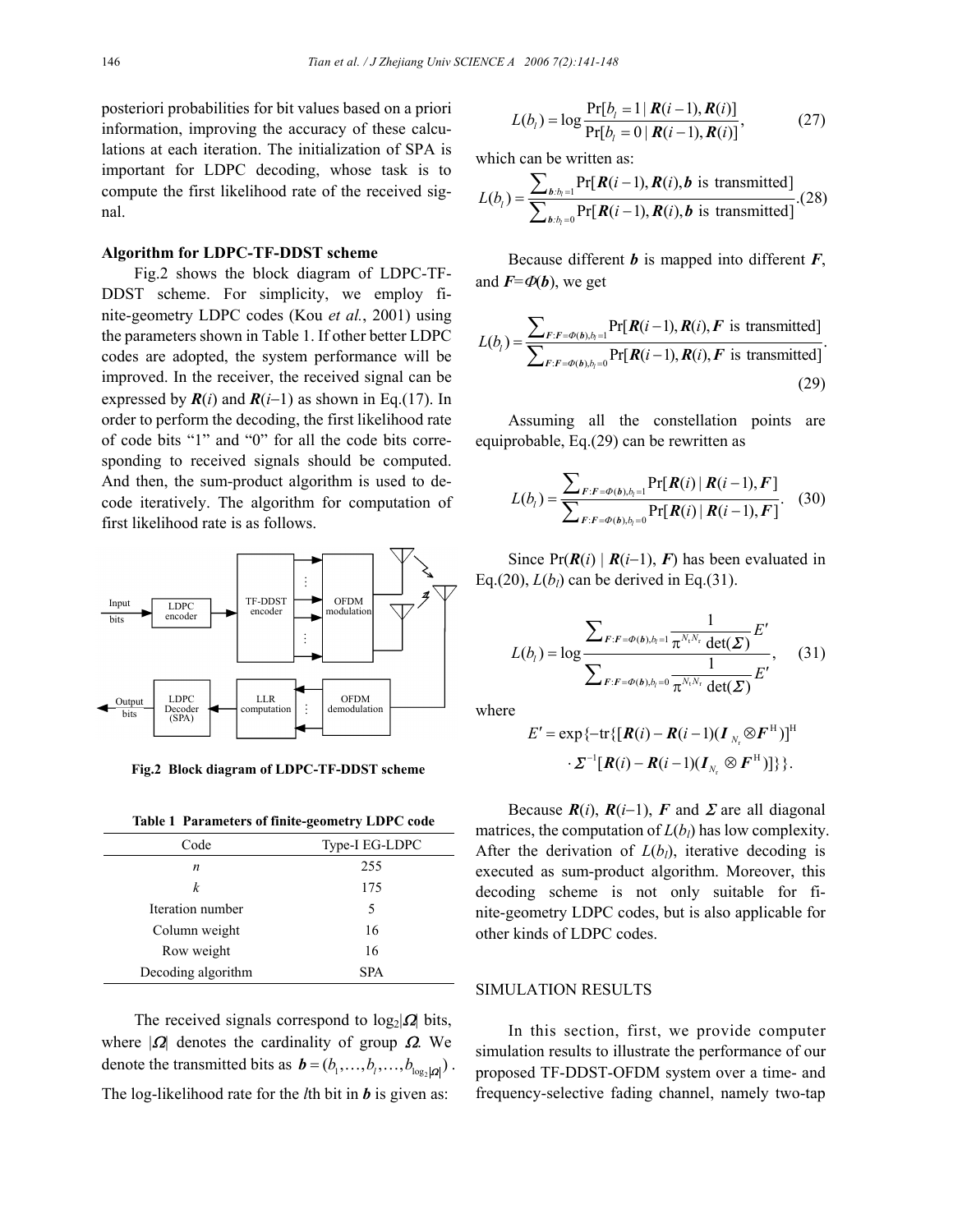posteriori probabilities for bit values based on a priori information, improving the accuracy of these calculations at each iteration. The initialization of SPA is important for LDPC decoding, whose task is to compute the first likelihood rate of the received signal.

#### **Algorithm for LDPC-TF-DDST scheme**

Fig.2 shows the block diagram of LDPC-TF-DDST scheme. For simplicity, we employ finite-geometry LDPC codes (Kou *et al.*, 2001) using the parameters shown in Table 1. If other better LDPC codes are adopted, the system performance will be improved. In the receiver, the received signal can be expressed by  $R(i)$  and  $R(i-1)$  as shown in Eq.(17). In order to perform the decoding, the first likelihood rate of code bits "1" and "0" for all the code bits corresponding to received signals should be computed. And then, the sum-product algorithm is used to decode iteratively. The algorithm for computation of first likelihood rate is as follows.



 **Fig.2 Block diagram of LDPC-TF-DDST scheme**

**Table 1 Parameters of finite-geometry LDPC code** 

| Code               | Type-I EG-LDPC |
|--------------------|----------------|
| n                  | 255            |
| k                  | 175            |
| Iteration number   | 5              |
| Column weight      | 16             |
| Row weight         | 16             |
| Decoding algorithm | <b>SPA</b>     |

The received signals correspond to  $log_2|\mathbf{\Omega}|$  bits, where  $|\Omega|$  denotes the cardinality of group  $\Omega$ . We denote the transmitted bits as  $\mathbf{b} = (b_1, \ldots, b_l, \ldots, b_{\text{log}|\mathbf{a}|})$ . The log-likelihood rate for the *l*th bit in *b* is given as:

$$
L(b_i) = \log \frac{\Pr[b_i = 1 | R(i-1), R(i)]}{\Pr[b_i = 0 | R(i-1), R(i)]},
$$
 (27)

which can be written as:

$$
L(b_i) = \frac{\sum_{b:b_i=1} \Pr[\boldsymbol{R}(i-1), \boldsymbol{R}(i), \boldsymbol{b} \text{ is transmitted}]}{\sum_{b:b_i=0} \Pr[\boldsymbol{R}(i-1), \boldsymbol{R}(i), \boldsymbol{b} \text{ is transmitted}]}.(28)
$$

Because different *b* is mapped into different *F*, and  $\vec{F} = \phi(\vec{b})$ , we get

$$
L(b_i) = \frac{\sum_{F:F=\Phi(b), b_i=1} \Pr[\boldsymbol{R}(i-1), \boldsymbol{R}(i), \boldsymbol{F} \text{ is transmitted}]}{\sum_{F:F=\Phi(b), b_i=0} \Pr[\boldsymbol{R}(i-1), \boldsymbol{R}(i), \boldsymbol{F} \text{ is transmitted}]}.
$$
\n(29)

Assuming all the constellation points are equiprobable, Eq.(29) can be rewritten as

$$
L(b_i) = \frac{\sum_{F:F=\phi(b),b_i=1} \Pr[R(i) | R(i-1), F]}{\sum_{F:F=\phi(b),b_i=0} \Pr[R(i) | R(i-1), F]}.
$$
 (30)

Since  $Pr(R(i) | R(i-1), F)$  has been evaluated in Eq.(20),  $L(b_l)$  can be derived in Eq.(31).

$$
L(b_i) = \log \frac{\sum_{F:F=\varPhi(b),b_i=1} \frac{1}{\pi^{N_i N_r} \det(\boldsymbol{\Sigma})} E'}{\sum_{F:F=\varPhi(b),b_i=0} \frac{1}{\pi^{N_i N_r} \det(\boldsymbol{\Sigma})} E'}, \quad (31)
$$

where

$$
E' = \exp\{-\text{tr}\{[\boldsymbol{R}(i) - \boldsymbol{R}(i-1)(\boldsymbol{I}_{N_r} \otimes \boldsymbol{F}^{\text{H}})]^{\text{H}} \cdot \boldsymbol{\Sigma}^{-1}[\boldsymbol{R}(i) - \boldsymbol{R}(i-1)(\boldsymbol{I}_{N_r} \otimes \boldsymbol{F}^{\text{H}})]\}\}.
$$

Because  $R(i)$ ,  $R(i-1)$ ,  $F$  and  $\Sigma$  are all diagonal matrices, the computation of  $L(b_l)$  has low complexity. After the derivation of  $L(b_l)$ , iterative decoding is executed as sum-product algorithm. Moreover, this decoding scheme is not only suitable for finite-geometry LDPC codes, but is also applicable for other kinds of LDPC codes.

## SIMULATION RESULTS

In this section, first, we provide computer simulation results to illustrate the performance of our proposed TF-DDST-OFDM system over a time- and frequency-selective fading channel, namely two-tap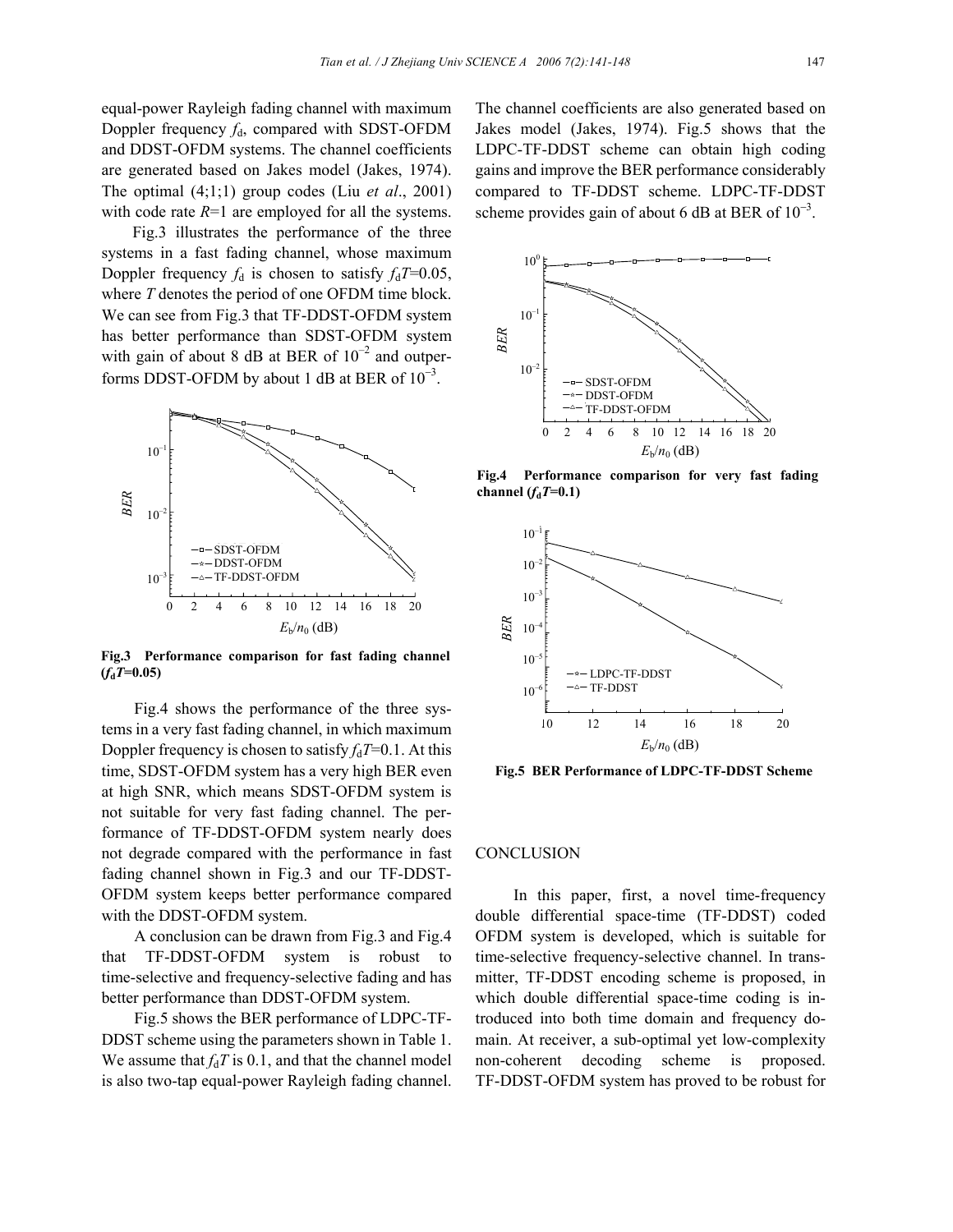equal-power Rayleigh fading channel with maximum Doppler frequency  $f_d$ , compared with SDST-OFDM and DDST-OFDM systems. The channel coefficients are generated based on Jakes model (Jakes, 1974). The optimal (4;1;1) group codes (Liu *et al*., 2001) with code rate  $R=1$  are employed for all the systems.

Fig.3 illustrates the performance of the three systems in a fast fading channel, whose maximum Doppler frequency  $f_d$  is chosen to satisfy  $f_dT=0.05$ , where *T* denotes the period of one OFDM time block. We can see from Fig.3 that TF-DDST-OFDM system has better performance than SDST-OFDM system with gain of about 8 dB at BER of  $10^{-2}$  and outperforms DDST-OFDM by about 1 dB at BER of  $10^{-3}$ .



**Fig.3 Performance comparison for fast fading channel**  $(f_dT=0.05)$ 

Fig.4 shows the performance of the three systems in a very fast fading channel, in which maximum Doppler frequency is chosen to satisfy  $f_dT=0.1$ . At this time, SDST-OFDM system has a very high BER even at high SNR, which means SDST-OFDM system is not suitable for very fast fading channel. The performance of TF-DDST-OFDM system nearly does not degrade compared with the performance in fast fading channel shown in Fig.3 and our TF-DDST-OFDM system keeps better performance compared with the DDST-OFDM system.

A conclusion can be drawn from Fig.3 and Fig.4 that TF-DDST-OFDM system is robust to time-selective and frequency-selective fading and has better performance than DDST-OFDM system.

Fig.5 shows the BER performance of LDPC-TF-DDST scheme using the parameters shown in Table 1. We assume that  $f_dT$  is 0.1, and that the channel model is also two-tap equal-power Rayleigh fading channel.

The channel coefficients are also generated based on Jakes model (Jakes, 1974). Fig.5 shows that the LDPC-TF-DDST scheme can obtain high coding gains and improve the BER performance considerably compared to TF-DDST scheme. LDPC-TF-DDST scheme provides gain of about 6 dB at BER of  $10^{-3}$ .



**Fig.4 Performance comparison for very fast fading**



### **CONCLUSION**

In this paper, first, a novel time-frequency double differential space-time (TF-DDST) coded OFDM system is developed, which is suitable for time-selective frequency-selective channel. In transmitter, TF-DDST encoding scheme is proposed, in which double differential space-time coding is introduced into both time domain and frequency domain. At receiver, a sub-optimal yet low-complexity non-coherent decoding scheme is proposed. TF-DDST-OFDM system has proved to be robust for